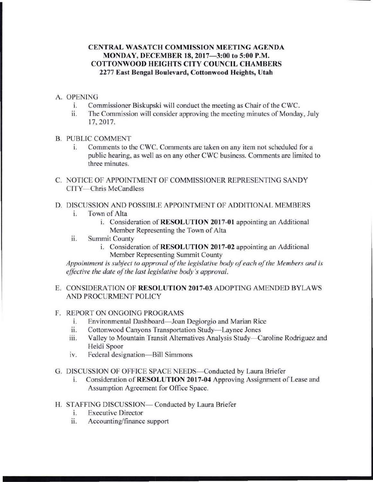# **CENTRAL WASATCH COMMISSION MEETING AGENDA MONDAY, DECEMBER 18, 2017-3:00 to 5:00 P.M. COTTONWOOD HEIGHTS CITY COUNCIL CHAMBERS 2277 East Bengal Boulevard, Cottonwood Heights, Utah**

## A. OPENING

- 1. Commissioner Biskupski will conduct the meeting as Chair of the CWC.<br>
The Commission will consider approving the meeting minutes of Monday
- The Commission will consider approving the meeting minutes of Monday, July 17, 2017.
- B. PUBLIC COMMENT
	- 1. Comments to the CWC. Comments are taken on any item not scheduled for a public hearing, as well as on any other CWC business. Comments are limited to three minutes.
- C. NOTICE OF APPOINTMENT OF COMMISSIONER REPRESENTING SANDY CITY-Chris McCandless
- D. DISCUSSION AND POSSIBLE APPOINTMENT OF ADDITIONAL MEMBERS
	- i. Town of Alta
		- i. Consideration of **RESOLUTION 2017-01** appointing an Additional Member Representing the Town of Alta
	- ii. Summit County
		- i. Consideration of **RESOLUTION 2017-02** appointing an Additional Member Representing Summit County

*Appointment is subject to approval of the legislative body of each of the Members and is effective the date of the last legislative body 's approval.* 

# E. CONSIDERATION OF **RESOLUTION 2017-03** ADOPTING AMENDED BYLAWS AND PROCURMENT POLICY

# F. REPORT ON ONGOING PROGRAMS

- i. Environmental Dashboard-Joan Degiorgio and Marian Rice
- ii. Cottonwood Canyons Transportation Study-Laynee Jones
- iii. Valley to Mountain Transit Alternatives Analysis Study—Caroline Rodriguez and Heidi Spoor
- iv. Federal designation-Bill Simmons

# G. DISCUSSION OF OFFICE SPACE NEEDS-Conducted by Laura Briefer

- 1. Consideration of **RESOLUTION 2017-04** Approving Assignment of Lease and Assumption Agreement for Office Space.
- H. STAFFING DISCUSSION- Conducted by Laura Briefer
	- i. Executive Director
	- ii. Accounting/finance support